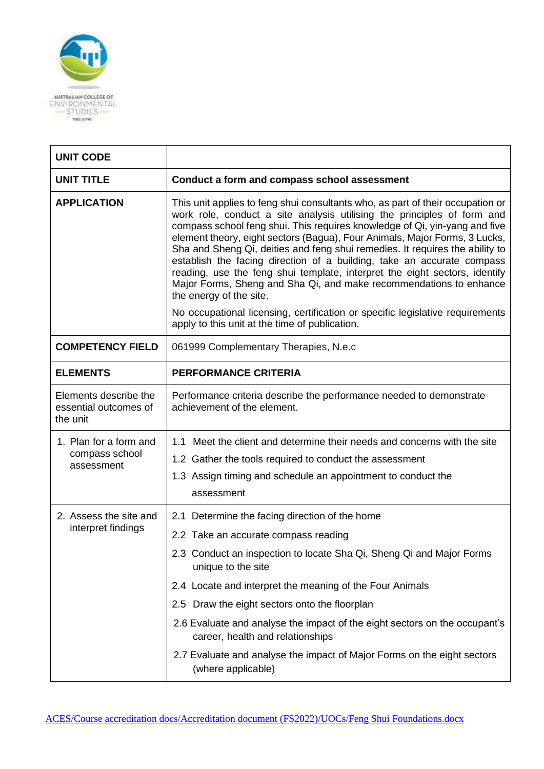

| <b>UNIT CODE</b>                                           |                                                                                                                                                                                                                                                                                                                                                                                                                                                                                                                                                                                                                                                                |  |  |
|------------------------------------------------------------|----------------------------------------------------------------------------------------------------------------------------------------------------------------------------------------------------------------------------------------------------------------------------------------------------------------------------------------------------------------------------------------------------------------------------------------------------------------------------------------------------------------------------------------------------------------------------------------------------------------------------------------------------------------|--|--|
| <b>UNIT TITLE</b>                                          | Conduct a form and compass school assessment                                                                                                                                                                                                                                                                                                                                                                                                                                                                                                                                                                                                                   |  |  |
| <b>APPLICATION</b>                                         | This unit applies to feng shui consultants who, as part of their occupation or<br>work role, conduct a site analysis utilising the principles of form and<br>compass school feng shui. This requires knowledge of Qi, yin-yang and five<br>element theory, eight sectors (Bagua), Four Animals, Major Forms, 3 Lucks,<br>Sha and Sheng Qi, deities and feng shui remedies. It requires the ability to<br>establish the facing direction of a building, take an accurate compass<br>reading, use the feng shui template, interpret the eight sectors, identify<br>Major Forms, Sheng and Sha Qi, and make recommendations to enhance<br>the energy of the site. |  |  |
|                                                            | No occupational licensing, certification or specific legislative requirements<br>apply to this unit at the time of publication.                                                                                                                                                                                                                                                                                                                                                                                                                                                                                                                                |  |  |
| <b>COMPETENCY FIELD</b>                                    | 061999 Complementary Therapies, N.e.c                                                                                                                                                                                                                                                                                                                                                                                                                                                                                                                                                                                                                          |  |  |
| <b>ELEMENTS</b>                                            | <b>PERFORMANCE CRITERIA</b>                                                                                                                                                                                                                                                                                                                                                                                                                                                                                                                                                                                                                                    |  |  |
| Elements describe the<br>essential outcomes of<br>the unit | Performance criteria describe the performance needed to demonstrate<br>achievement of the element.                                                                                                                                                                                                                                                                                                                                                                                                                                                                                                                                                             |  |  |
| 1. Plan for a form and<br>compass school<br>assessment     | 1.1 Meet the client and determine their needs and concerns with the site<br>1.2 Gather the tools required to conduct the assessment<br>1.3 Assign timing and schedule an appointment to conduct the<br>assessment                                                                                                                                                                                                                                                                                                                                                                                                                                              |  |  |
| 2. Assess the site and<br>interpret findings               | 2.1 Determine the facing direction of the home<br>2.2 Take an accurate compass reading<br>2.3 Conduct an inspection to locate Sha Qi, Sheng Qi and Major Forms<br>unique to the site<br>2.4 Locate and interpret the meaning of the Four Animals<br>2.5 Draw the eight sectors onto the floorplan<br>2.6 Evaluate and analyse the impact of the eight sectors on the occupant's<br>career, health and relationships<br>2.7 Evaluate and analyse the impact of Major Forms on the eight sectors<br>(where applicable)                                                                                                                                           |  |  |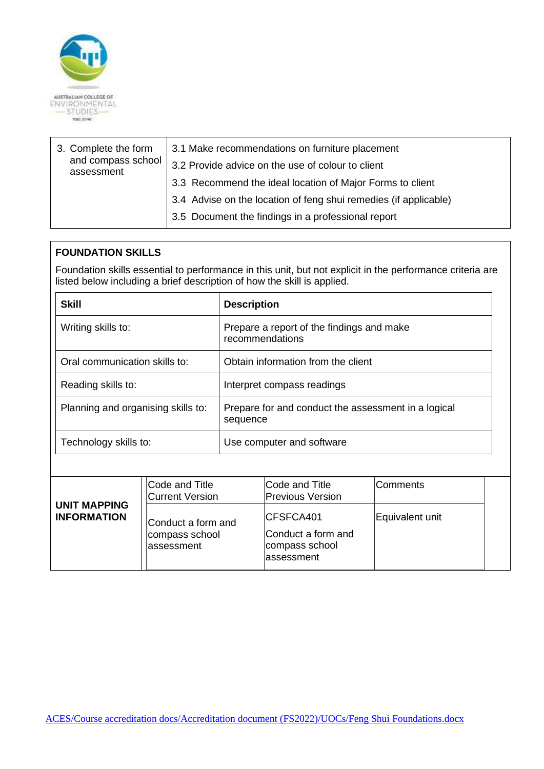

| and compass school<br>3.2 Provide advice on the use of colour to client<br>assessment |
|---------------------------------------------------------------------------------------|
|                                                                                       |
| 3.3 Recommend the ideal location of Major Forms to client                             |
| 3.4 Advise on the location of feng shui remedies (if applicable)                      |
| 3.5 Document the findings in a professional report                                    |

## **FOUNDATION SKILLS**

Foundation skills essential to performance in this unit, but not explicit in the performance criteria are listed below including a brief description of how the skill is applied.

| <b>Skill</b>                       | <b>Description</b>                                              |  |
|------------------------------------|-----------------------------------------------------------------|--|
| Writing skills to:                 | Prepare a report of the findings and make<br>recommendations    |  |
| Oral communication skills to:      | Obtain information from the client                              |  |
| Reading skills to:                 | Interpret compass readings                                      |  |
| Planning and organising skills to: | Prepare for and conduct the assessment in a logical<br>sequence |  |
| Technology skills to:              | Use computer and software                                       |  |

| <b>UNIT MAPPING</b> | Code and Title<br>Current Version                   | <b>Code and Title</b><br><b>Previous Version</b>                        | Comments        |  |
|---------------------|-----------------------------------------------------|-------------------------------------------------------------------------|-----------------|--|
| <b>INFORMATION</b>  | Conduct a form and<br>compass school<br>lassessment | <b>CFSFCA401</b><br>Conduct a form and<br>compass school<br>lassessment | Equivalent unit |  |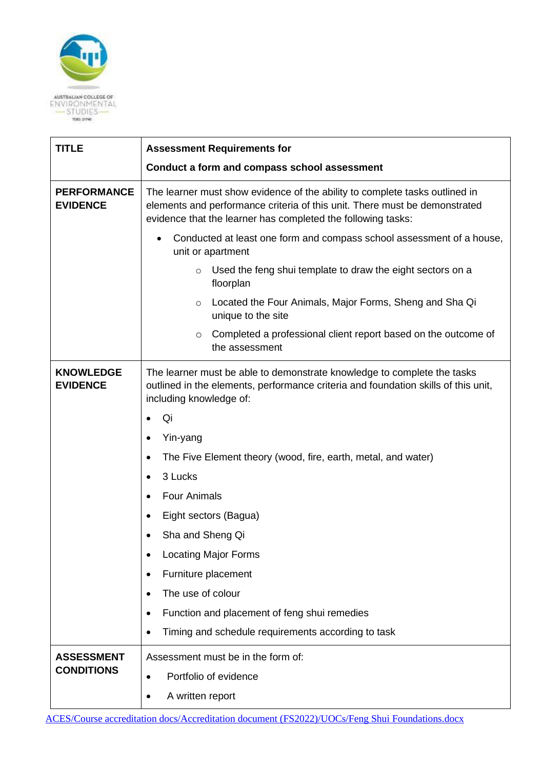

| <b>TITLE</b>                          | <b>Assessment Requirements for</b>                                                                                                                                                                                        |  |
|---------------------------------------|---------------------------------------------------------------------------------------------------------------------------------------------------------------------------------------------------------------------------|--|
|                                       | Conduct a form and compass school assessment                                                                                                                                                                              |  |
| <b>PERFORMANCE</b><br><b>EVIDENCE</b> | The learner must show evidence of the ability to complete tasks outlined in<br>elements and performance criteria of this unit. There must be demonstrated<br>evidence that the learner has completed the following tasks: |  |
|                                       | Conducted at least one form and compass school assessment of a house,<br>unit or apartment                                                                                                                                |  |
|                                       | Used the feng shui template to draw the eight sectors on a<br>$\circ$<br>floorplan                                                                                                                                        |  |
|                                       | Located the Four Animals, Major Forms, Sheng and Sha Qi<br>$\circ$<br>unique to the site                                                                                                                                  |  |
|                                       | Completed a professional client report based on the outcome of<br>$\circ$<br>the assessment                                                                                                                               |  |
| <b>KNOWLEDGE</b><br><b>EVIDENCE</b>   | The learner must be able to demonstrate knowledge to complete the tasks<br>outlined in the elements, performance criteria and foundation skills of this unit,<br>including knowledge of:                                  |  |
|                                       | Qi                                                                                                                                                                                                                        |  |
|                                       | Yin-yang                                                                                                                                                                                                                  |  |
|                                       | The Five Element theory (wood, fire, earth, metal, and water)<br>$\bullet$                                                                                                                                                |  |
|                                       | 3 Lucks<br>٠                                                                                                                                                                                                              |  |
|                                       | <b>Four Animals</b><br>$\bullet$                                                                                                                                                                                          |  |
|                                       | Eight sectors (Bagua)<br>$\bullet$                                                                                                                                                                                        |  |
|                                       | Sha and Sheng Qi                                                                                                                                                                                                          |  |
|                                       | <b>Locating Major Forms</b>                                                                                                                                                                                               |  |
|                                       | Furniture placement                                                                                                                                                                                                       |  |
|                                       | The use of colour<br>$\bullet$                                                                                                                                                                                            |  |
|                                       | Function and placement of feng shui remedies<br>$\bullet$                                                                                                                                                                 |  |
|                                       | Timing and schedule requirements according to task                                                                                                                                                                        |  |
| <b>ASSESSMENT</b>                     | Assessment must be in the form of:                                                                                                                                                                                        |  |
| <b>CONDITIONS</b>                     | Portfolio of evidence<br>$\bullet$                                                                                                                                                                                        |  |
|                                       | A written report                                                                                                                                                                                                          |  |